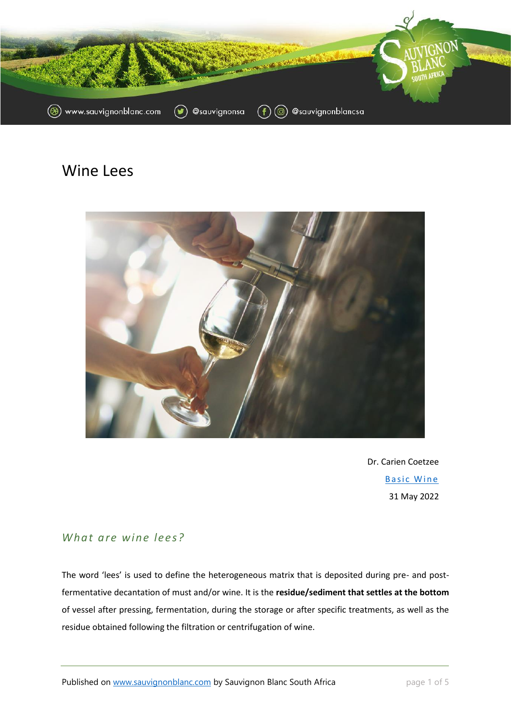

# Wine Lees



Dr. Carien Coetzee Basic Wine 31 May 2022

## *What are wine lees ?*

The word 'lees' is used to define the heterogeneous matrix that is deposited during pre- and postfermentative decantation of must and/or wine. It is the **residue/sediment that settles at the bottom** of vessel after pressing, fermentation, during the storage or after specific treatments, as well as the residue obtained following the filtration or centrifugation of wine.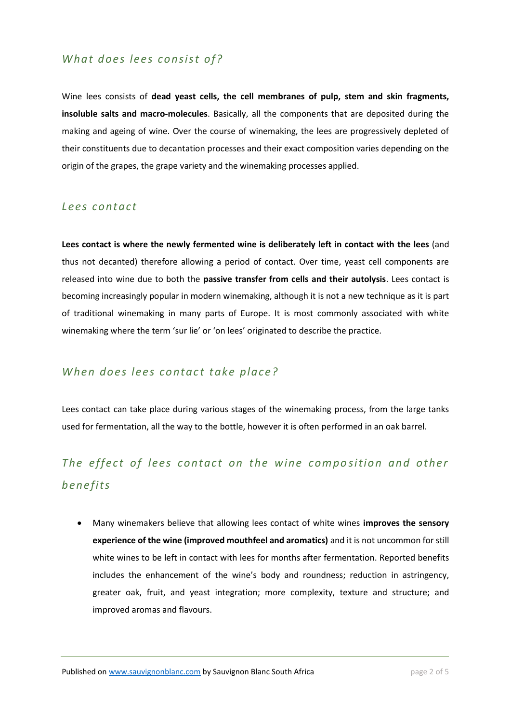### What does lees consist of?

Wine lees consists of **dead yeast cells, the cell membranes of pulp, stem and skin fragments, insoluble salts and macro-molecules**. Basically, all the components that are deposited during the making and ageing of wine. Over the course of winemaking, the lees are progressively depleted of their constituents due to decantation processes and their exact composition varies depending on the origin of the grapes, the grape variety and the winemaking processes applied.

#### *Lees contact*

**Lees contact is where the newly fermented wine is deliberately left in contact with the lees** (and thus not decanted) therefore allowing a period of contact. Over time, yeast cell components are released into wine due to both the **passive transfer from cells and their autolysis**. Lees contact is becoming increasingly popular in modern winemaking, although it is not a new technique as it is part of traditional winemaking in many parts of Europe. It is most commonly associated with white winemaking where the term 'sur lie' or 'on lees' originated to describe the practice.

#### *When does lees contact take place?*

Lees contact can take place during various stages of the winemaking process, from the large tanks used for fermentation, all the way to the bottle, however it is often performed in an oak barrel.

# *The effect of lees contact on the wine composition and other benefits*

• Many winemakers believe that allowing lees contact of white wines **improves the sensory experience of the wine (improved mouthfeel and aromatics)** and it is not uncommon for still white wines to be left in contact with lees for months after fermentation. Reported benefits includes the enhancement of the wine's body and roundness; reduction in astringency, greater oak, fruit, and yeast integration; more complexity, texture and structure; and improved aromas and flavours.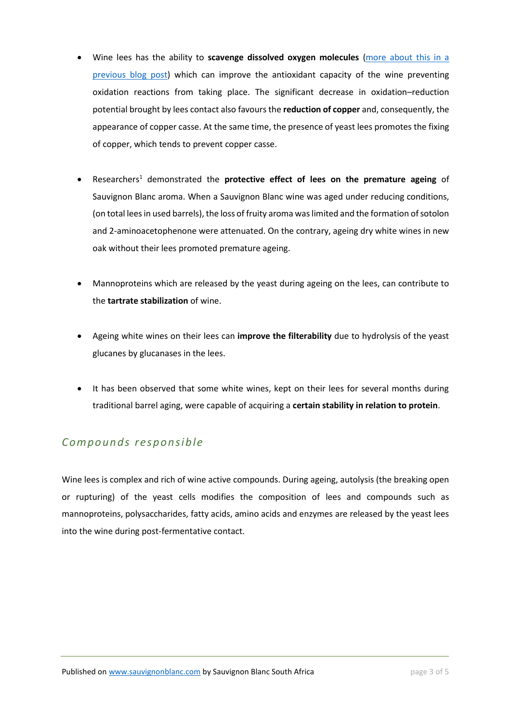- Wine lees has the ability to **scavenge dissolved oxygen molecules** [\(more about this in a](https://sauvignonblanc.com/oxygen-consumption-by-yeast-lees/)  [previous blog post\)](https://sauvignonblanc.com/oxygen-consumption-by-yeast-lees/) which can improve the antioxidant capacity of the wine preventing oxidation reactions from taking place. The significant decrease in oxidation–reduction potential brought by lees contact also favours the **reduction of copper** and, consequently, the appearance of copper casse. At the same time, the presence of yeast lees promotes the fixing of copper, which tends to prevent copper casse.
- Researchers<sup>1</sup> demonstrated the **protective effect of lees on the premature ageing** of Sauvignon Blanc aroma. When a Sauvignon Blanc wine was aged under reducing conditions, (on total lees in used barrels), the loss of fruity aroma was limited and the formation of sotolon and 2-aminoacetophenone were attenuated. On the contrary, ageing dry white wines in new oak without their lees promoted premature ageing.
- Mannoproteins which are released by the yeast during ageing on the lees, can contribute to the **tartrate stabilization** of wine.
- Ageing white wines on their lees can **improve the filterability** due to hydrolysis of the yeast glucanes by glucanases in the lees.
- It has been observed that some white wines, kept on their lees for several months during traditional barrel aging, were capable of acquiring a **certain stability in relation to protein**.

# *Compounds res ponsible*

Wine lees is complex and rich of wine active compounds. During ageing, autolysis (the breaking open or rupturing) of the yeast cells modifies the composition of lees and compounds such as mannoproteins, polysaccharides, fatty acids, amino acids and enzymes are released by the yeast lees into the wine during post-fermentative contact.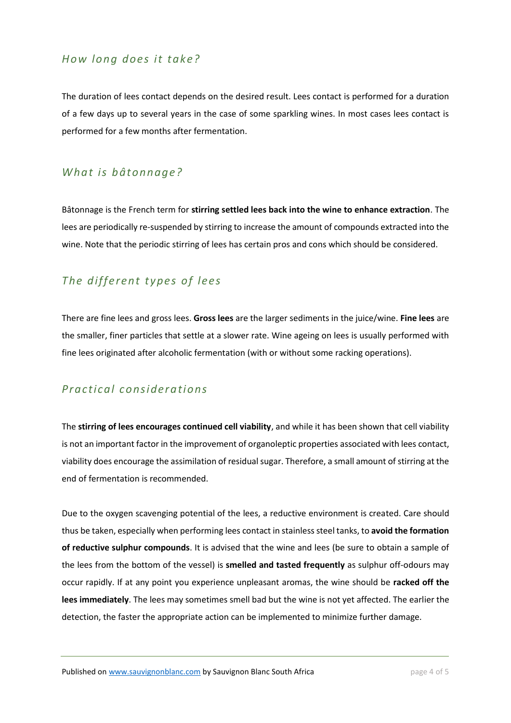#### *How long does it take?*

The duration of lees contact depends on the desired result. Lees contact is performed for a duration of a few days up to several years in the case of some sparkling wines. In most cases lees contact is performed for a few months after fermentation.

### *What is bâtonnage?*

Bâtonnage is the French term for **stirring settled lees back into the wine to enhance extraction**. The lees are periodically re-suspended by stirring to increase the amount of compounds extracted into the wine. Note that the periodic stirring of lees has certain pros and cons which should be considered.

# *The different types of lees*

There are fine lees and gross lees. **Gross lees** are the larger sediments in the juice/wine. **Fine lees** are the smaller, finer particles that settle at a slower rate. Wine ageing on lees is usually performed with fine lees originated after alcoholic fermentation (with or without some racking operations).

### *Practical c onsiderations*

The **stirring of lees encourages continued cell viability**, and while it has been shown that cell viability is not an important factor in the improvement of organoleptic properties associated with lees contact, viability does encourage the assimilation of residual sugar. Therefore, a small amount of stirring at the end of fermentation is recommended.

Due to the oxygen scavenging potential of the lees, a reductive environment is created. Care should thus be taken, especially when performing lees contact in stainless steel tanks, to **avoid the formation of reductive sulphur compounds**. It is advised that the wine and lees (be sure to obtain a sample of the lees from the bottom of the vessel) is **smelled and tasted frequently** as sulphur off-odours may occur rapidly. If at any point you experience unpleasant aromas, the wine should be **racked off the lees immediately**. The lees may sometimes smell bad but the wine is not yet affected. The earlier the detection, the faster the appropriate action can be implemented to minimize further damage.